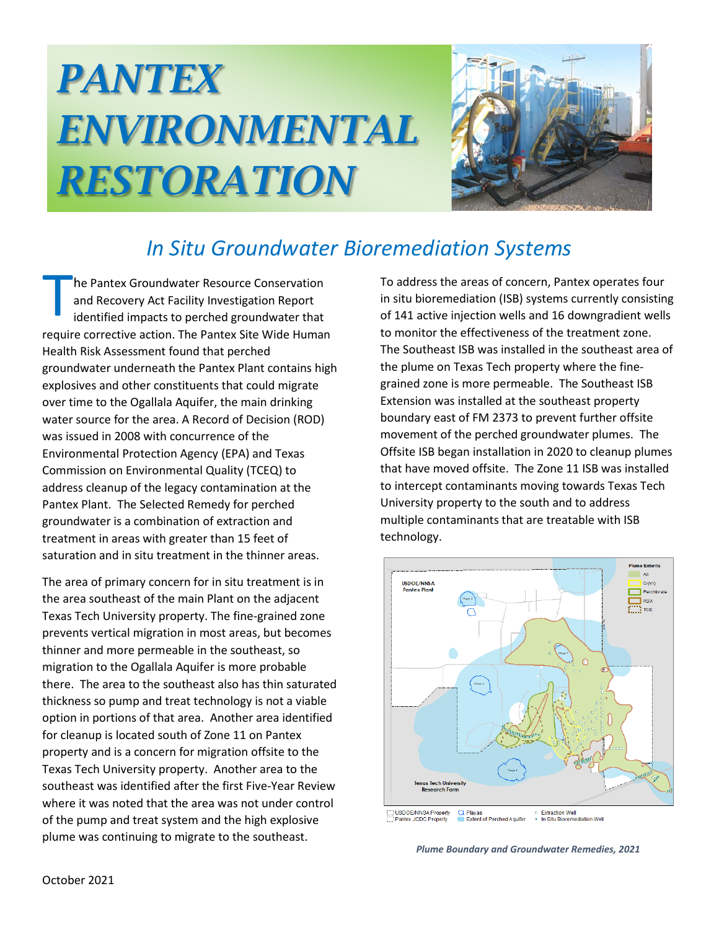## *PANTEX ENVIRONMENTAL RESTORATION*



## *In Situ Groundwater Bioremediation Systems*

he Pantex Groundwater Resource Conservation and Recovery Act Facility Investigation Report identified impacts to perched groundwater that require corrective action. The Pantex Site Wide Human Health Risk Assessment found that perched groundwater underneath the Pantex Plant contains high explosives and other constituents that could migrate over time to the Ogallala Aquifer, the main drinking water source for the area. A Record of Decision (ROD) was issued in 2008 with concurrence of the Environmental Protection Agency (EPA) and Texas Commission on Environmental Quality (TCEQ) to address cleanup of the legacy contamination at the Pantex Plant. The Selected Remedy for perched groundwater is a combination of extraction and treatment in areas with greater than 15 feet of saturation and in situ treatment in the thinner areas. T

The area of primary concern for in situ treatment is in the area southeast of the main Plant on the adjacent Texas Tech University property. The fine-grained zone prevents vertical migration in most areas, but becomes thinner and more permeable in the southeast, so migration to the Ogallala Aquifer is more probable there. The area to the southeast also has thin saturated thickness so pump and treat technology is not a viable option in portions of that area. Another area identified for cleanup is located south of Zone 11 on Pantex property and is a concern for migration offsite to the Texas Tech University property. Another area to the southeast was identified after the first Five-Year Review where it was noted that the area was not under control of the pump and treat system and the high explosive plume was continuing to migrate to the southeast.

To address the areas of concern, Pantex operates four in situ bioremediation (ISB) systems currently consisting of 141 active injection wells and 16 downgradient wells to monitor the effectiveness of the treatment zone. The Southeast ISB was installed in the southeast area of the plume on Texas Tech property where the finegrained zone is more permeable. The Southeast ISB Extension was installed at the southeast property boundary east of FM 2373 to prevent further offsite movement of the perched groundwater plumes. The Offsite ISB began installation in 2020 to cleanup plumes that have moved offsite. The Zone 11 ISB was installed to intercept contaminants moving towards Texas Tech University property to the south and to address multiple contaminants that are treatable with ISB technology.



*Plume Boundary and Groundwater Remedies, 2021*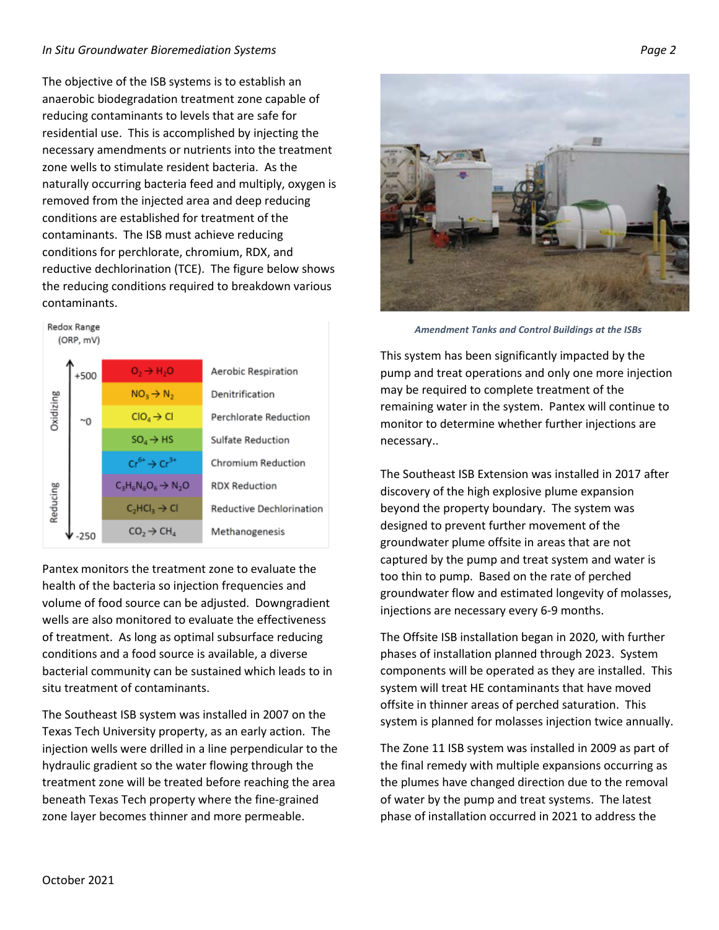## *In Situ Groundwater Bioremediation Systems Page 2*

The objective of the ISB systems is to establish an anaerobic biodegradation treatment zone capable of reducing contaminants to levels that are safe for residential use. This is accomplished by injecting the necessary amendments or nutrients into the treatment zone wells to stimulate resident bacteria. As the naturally occurring bacteria feed and multiply, oxygen is removed from the injected area and deep reducing conditions are established for treatment of the contaminants. The ISB must achieve reducing conditions for perchlorate, chromium, RDX, and reductive dechlorination (TCE). The figure below shows the reducing conditions required to breakdown various contaminants.



Pantex monitors the treatment zone to evaluate the health of the bacteria so injection frequencies and volume of food source can be adjusted. Downgradient wells are also monitored to evaluate the effectiveness of treatment. As long as optimal subsurface reducing conditions and a food source is available, a diverse bacterial community can be sustained which leads to in situ treatment of contaminants.

The Southeast ISB system was installed in 2007 on the Texas Tech University property, as an early action. The injection wells were drilled in a line perpendicular to the hydraulic gradient so the water flowing through the treatment zone will be treated before reaching the area beneath Texas Tech property where the fine-grained zone layer becomes thinner and more permeable.



*Amendment Tanks and Control Buildings at the ISBs*

This system has been significantly impacted by the pump and treat operations and only one more injection may be required to complete treatment of the remaining water in the system. Pantex will continue to monitor to determine whether further injections are necessary..

The Southeast ISB Extension was installed in 2017 after discovery of the high explosive plume expansion beyond the property boundary. The system was designed to prevent further movement of the groundwater plume offsite in areas that are not captured by the pump and treat system and water is too thin to pump. Based on the rate of perched groundwater flow and estimated longevity of molasses, injections are necessary every 6-9 months.

The Offsite ISB installation began in 2020, with further phases of installation planned through 2023. System components will be operated as they are installed. This system will treat HE contaminants that have moved offsite in thinner areas of perched saturation. This system is planned for molasses injection twice annually.

The Zone 11 ISB system was installed in 2009 as part of the final remedy with multiple expansions occurring as the plumes have changed direction due to the removal of water by the pump and treat systems. The latest phase of installation occurred in 2021 to address the

**Redox Range**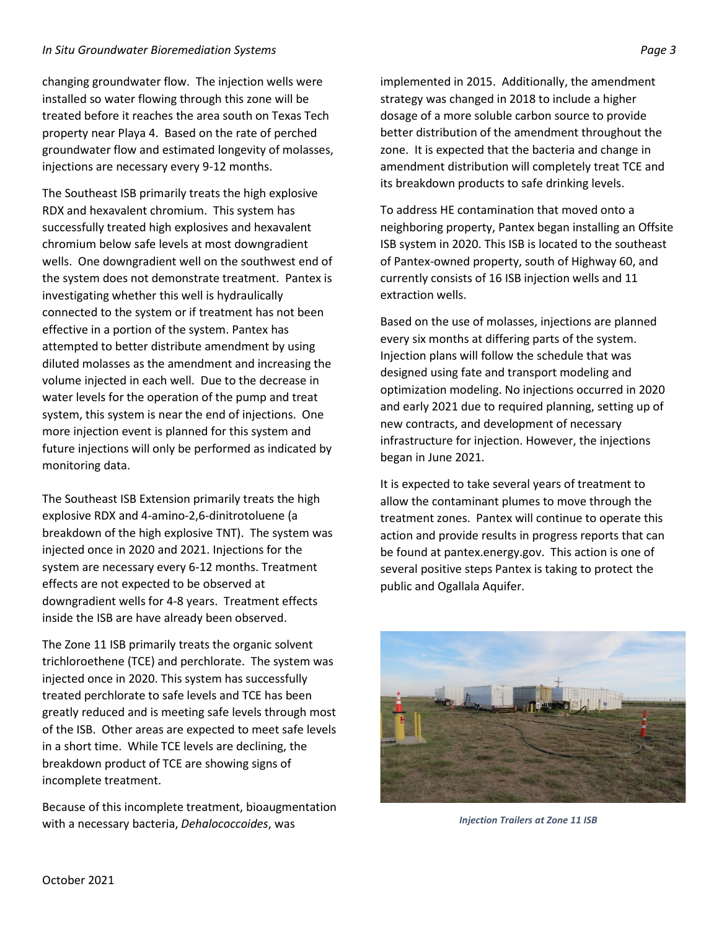## *In Situ Groundwater Bioremediation Systems Page 3*

changing groundwater flow. The injection wells were installed so water flowing through this zone will be treated before it reaches the area south on Texas Tech property near Playa 4. Based on the rate of perched groundwater flow and estimated longevity of molasses, injections are necessary every 9-12 months.

The Southeast ISB primarily treats the high explosive RDX and hexavalent chromium. This system has successfully treated high explosives and hexavalent chromium below safe levels at most downgradient wells. One downgradient well on the southwest end of the system does not demonstrate treatment. Pantex is investigating whether this well is hydraulically connected to the system or if treatment has not been effective in a portion of the system. Pantex has attempted to better distribute amendment by using diluted molasses as the amendment and increasing the volume injected in each well. Due to the decrease in water levels for the operation of the pump and treat system, this system is near the end of injections. One more injection event is planned for this system and future injections will only be performed as indicated by monitoring data.

The Southeast ISB Extension primarily treats the high explosive RDX and 4-amino-2,6-dinitrotoluene (a breakdown of the high explosive TNT). The system was injected once in 2020 and 2021. Injections for the system are necessary every 6-12 months. Treatment effects are not expected to be observed at downgradient wells for 4-8 years. Treatment effects inside the ISB are have already been observed.

The Zone 11 ISB primarily treats the organic solvent trichloroethene (TCE) and perchlorate. The system was injected once in 2020. This system has successfully treated perchlorate to safe levels and TCE has been greatly reduced and is meeting safe levels through most of the ISB. Other areas are expected to meet safe levels in a short time. While TCE levels are declining, the breakdown product of TCE are showing signs of incomplete treatment.

Because of this incomplete treatment, bioaugmentation with a necessary bacteria, *Dehalococcoides*, was

implemented in 2015. Additionally, the amendment strategy was changed in 2018 to include a higher dosage of a more soluble carbon source to provide better distribution of the amendment throughout the zone. It is expected that the bacteria and change in amendment distribution will completely treat TCE and its breakdown products to safe drinking levels.

To address HE contamination that moved onto a neighboring property, Pantex began installing an Offsite ISB system in 2020. This ISB is located to the southeast of Pantex-owned property, south of Highway 60, and currently consists of 16 ISB injection wells and 11 extraction wells.

Based on the use of molasses, injections are planned every six months at differing parts of the system. Injection plans will follow the schedule that was designed using fate and transport modeling and optimization modeling. No injections occurred in 2020 and early 2021 due to required planning, setting up of new contracts, and development of necessary infrastructure for injection. However, the injections began in June 2021.

It is expected to take several years of treatment to allow the contaminant plumes to move through the treatment zones. Pantex will continue to operate this action and provide results in progress reports that can be found at pantex.energy.gov. This action is one of several positive steps Pantex is taking to protect the public and Ogallala Aquifer.



*Injection Trailers at Zone 11 ISB*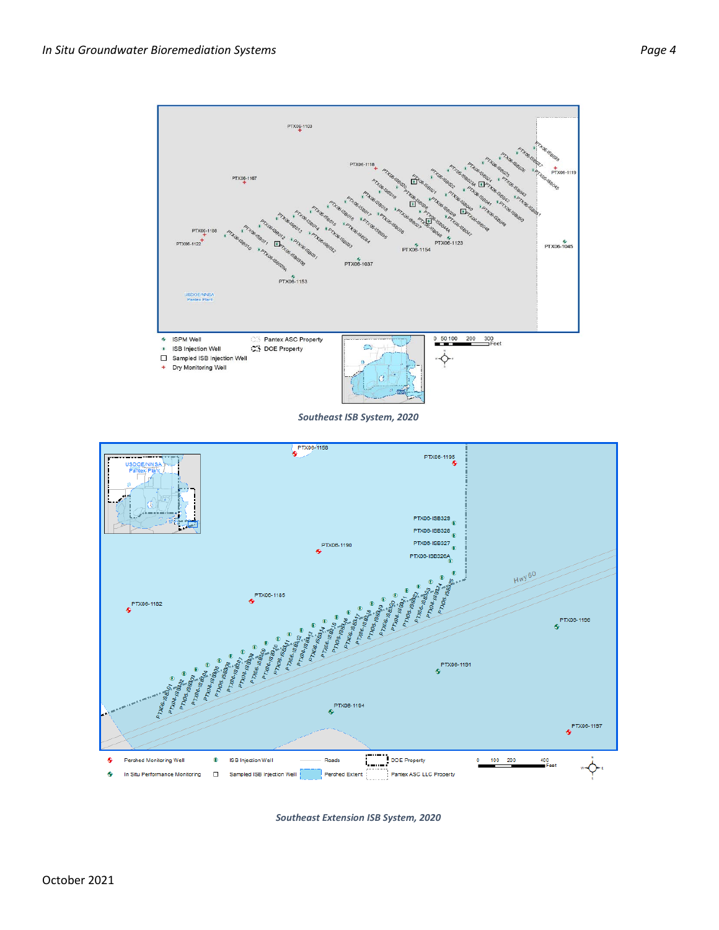

*Southeast ISB System, 2020*



*Southeast Extension ISB System, 2020*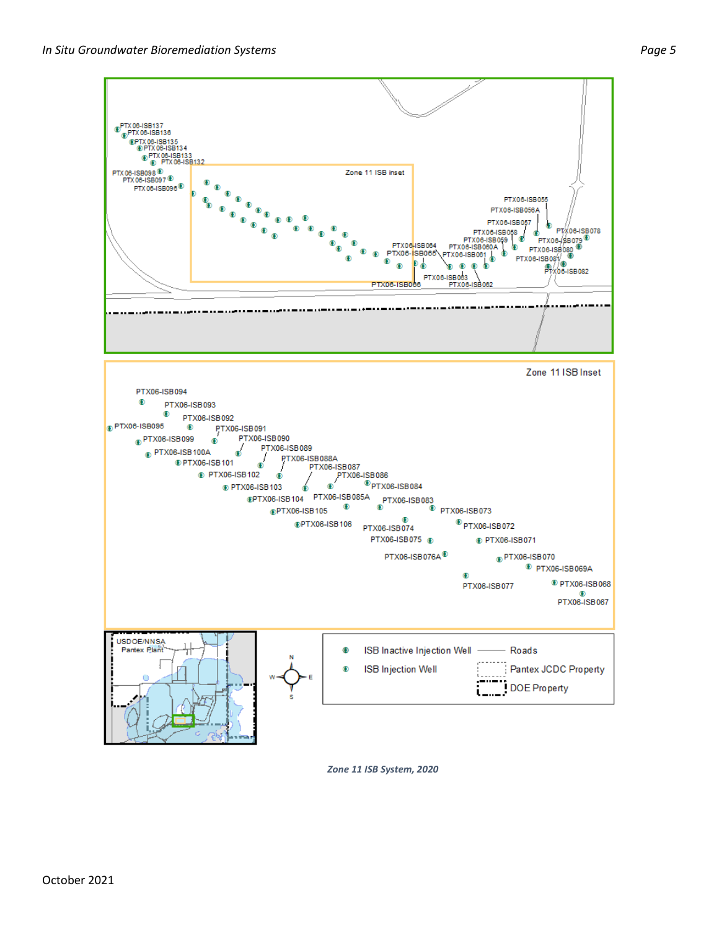

*Zone 11 ISB System, 2020*